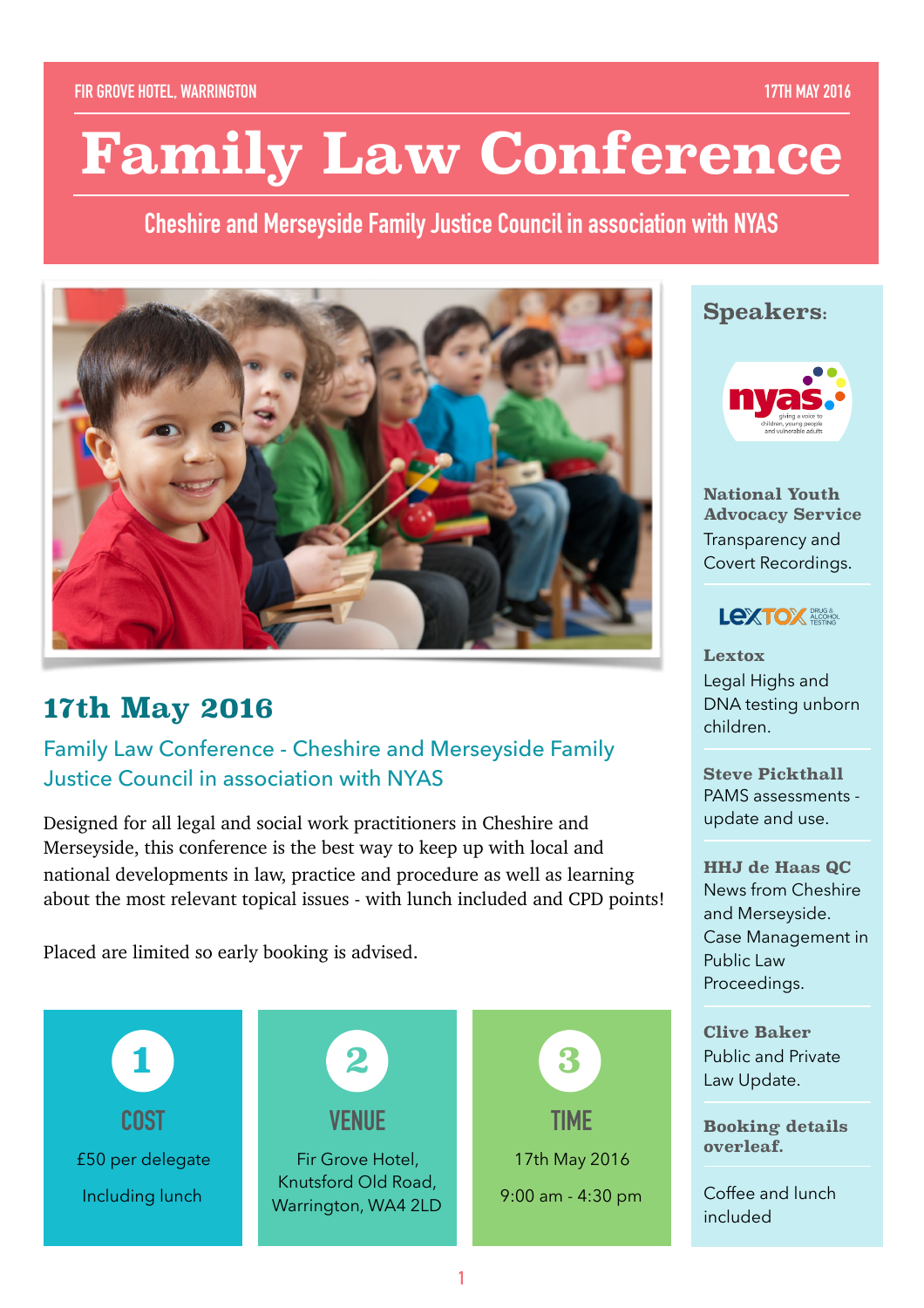# **Family Law Conference**

**Cheshire and Merseyside Family Justice Council in association with NYAS**



# **17th May 2016**

Family Law Conference - Cheshire and Merseyside Family Justice Council in association with NYAS

Designed for all legal and social work practitioners in Cheshire and Merseyside, this conference is the best way to keep up with local and national developments in law, practice and procedure as well as learning about the most relevant topical issues - with lunch included and CPD points!

Placed are limited so early booking is advised.



### **Speakers:**



**National Youth Advocacy Service** Transparency and Covert Recordings.



**Lextox**  Legal Highs and DNA testing unborn children.

**Steve Pickthall**  PAMS assessments update and use.

**HHJ de Haas QC** News from Cheshire and Merseyside. Case Management in Public Law Proceedings.

**Clive Baker** Public and Private Law Update.

**Booking details overleaf.** 

Coffee and lunch included